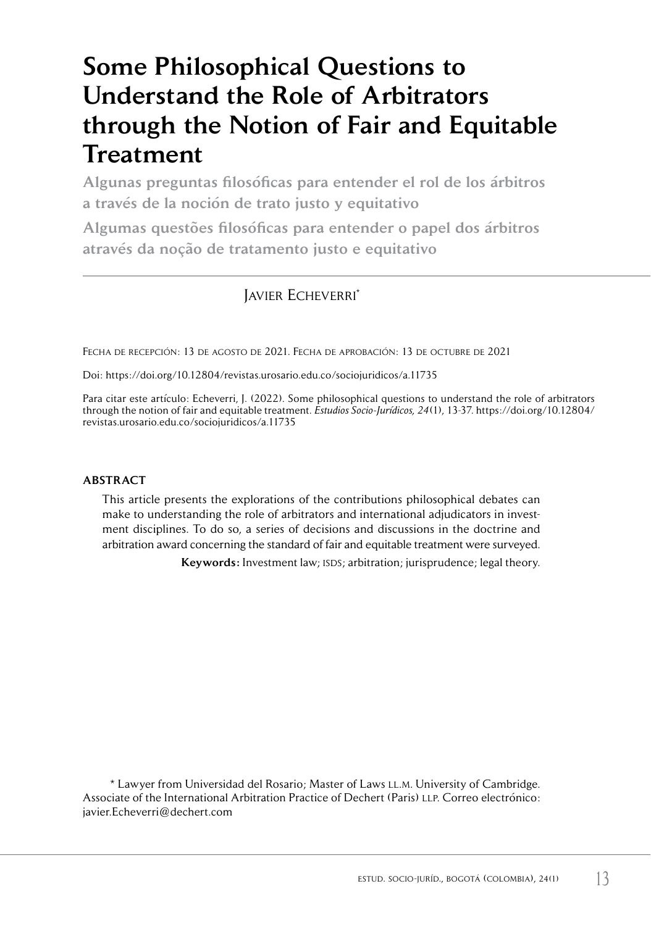# Some Philosophical Questions to Understand the Role of Arbitrators through the Notion of Fair and Equitable **Treatment**

Algunas preguntas filosóficas para entender el rol de los árbitros a través de la noción de trato justo y equitativo

Algumas questões filosóficas para entender o papel dos árbitros através da noção de tratamento justo e equitativo

# Javier Echeverri\*

Fecha de recepción: 13 de agosto de 2021. Fecha de aprobación: 13 de octubre de 2021

Doi:<https://doi.org/10.12804/revistas.urosario.edu.co/sociojuridicos/a.11735>

Para citar este artículo: Echeverri, J. (2022). Some philosophical questions to understand the role of arbitrators through the notion of fair and equitable treatment. *Estudios Socio-Jurídicos, 24*(1), 13-37. [https://doi.org/10.12804/](https://doi.org/10.12804/revistas.urosario.edu.co/sociojuridicos/a.11735) [revistas.urosario.edu.co/sociojuridicos/a.11735](https://doi.org/10.12804/revistas.urosario.edu.co/sociojuridicos/a.11735)

#### ABSTRACT

This article presents the explorations of the contributions philosophical debates can make to understanding the role of arbitrators and international adjudicators in investment disciplines. To do so, a series of decisions and discussions in the doctrine and arbitration award concerning the standard of fair and equitable treatment were surveyed.

Keywords: Investment law; ISDS; arbitration; jurisprudence; legal theory.

\* Lawyer from Universidad del Rosario; Master of Laws ll.m. University of Cambridge. Associate of the International Arbitration Practice of Dechert (Paris) LLP. Correo electrónico: [javier.Echeverri@dechert.com](mailto:javier.Echeverri@dechert.com)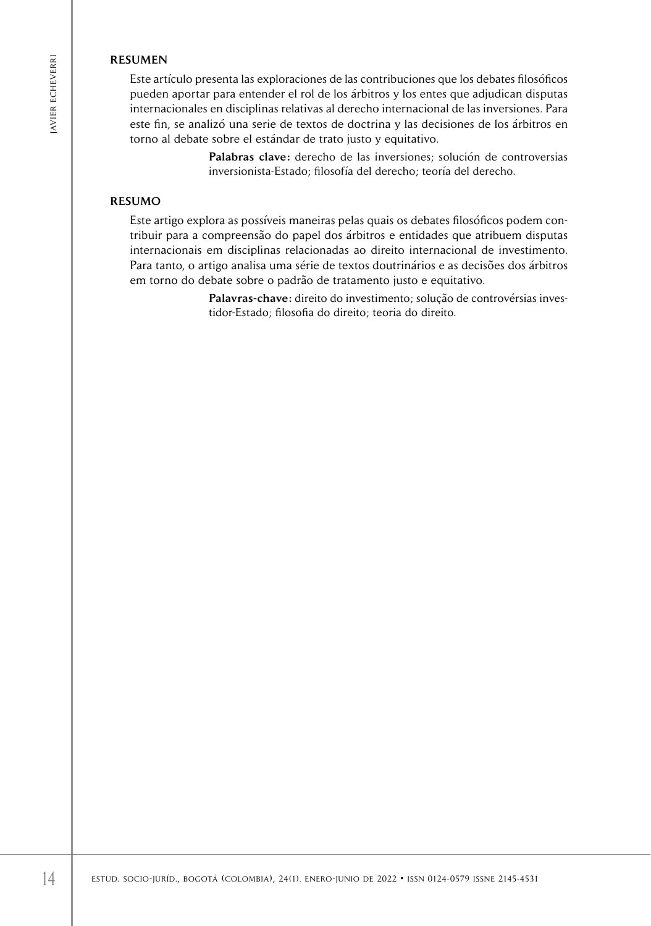#### **RESUMEN**

Este artículo presenta las exploraciones de las contribuciones que los debates filosóficos pueden aportar para entender el rol de los árbitros y los entes que adjudican disputas internacionales en disciplinas relativas al derecho internacional de las inversiones. Para este fin, se analizó una serie de textos de doctrina y las decisiones de los árbitros en torno al debate sobre el estándar de trato justo y equitativo.

> Palabras clave: derecho de las inversiones; solución de controversias inversionista-Estado; filosofía del derecho; teoría del derecho.

#### RESUMO

**ESTIMES**<br> **ESTIMENT**<br> **ESTIMENT parameter en discriptions trainties and detection intermacionalistical parameter and intermacional detection intermacionalistical parameter and dependent parameters<br>**  $\frac{2}{5}$  **intermaciona** Este artigo explora as possíveis maneiras pelas quais os debates filosóficos podem contribuir para a compreensão do papel dos árbitros e entidades que atribuem disputas internacionais em disciplinas relacionadas ao direito internacional de investimento. Para tanto, o artigo analisa uma série de textos doutrinários e as decisões dos árbitros em torno do debate sobre o padrão de tratamento justo e equitativo.

Palavras-chave: direito do investimento; solução de controvérsias investidor-Estado; filosofia do direito; teoria do direito.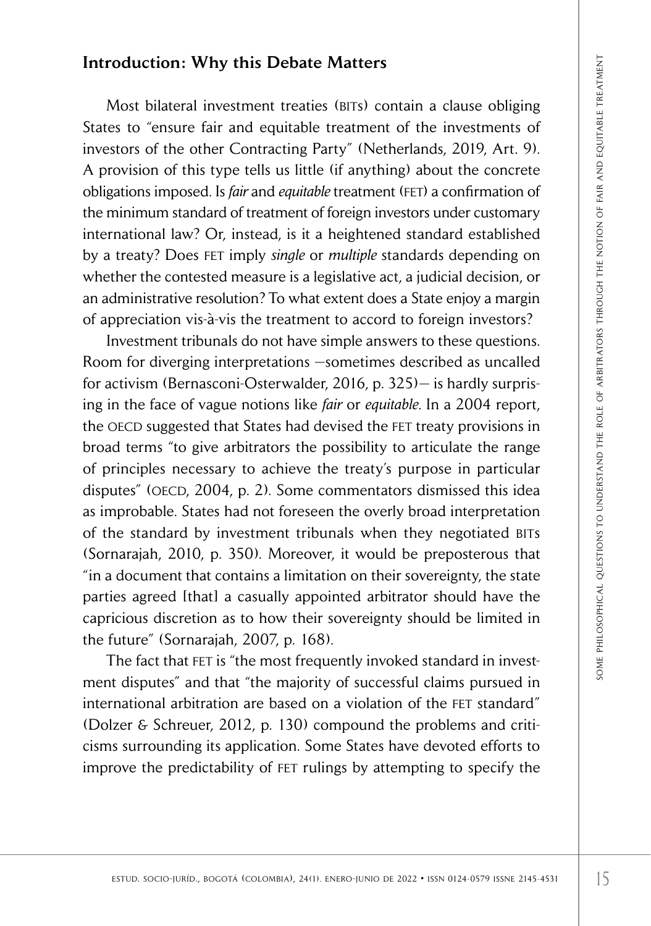# Introduction: Why this Debate Matters

Most bilateral investment treaties (BITs) contain a clause obliging States to "ensure fair and equitable treatment of the investments of investors of the other Contracting Party" (Netherlands, 2019, Art. 9). A provision of this type tells us little (if anything) about the concrete obligations imposed. Is *fair* and *equitable* treatment (fet) a confirmation of the minimum standard of treatment of foreign investors under customary international law? Or, instead, is it a heightened standard established by a treaty? Does fet imply *single* or *multiple* standards depending on whether the contested measure is a legislative act, a judicial decision, or an administrative resolution? To what extent does a State enjoy a margin of appreciation vis-à-vis the treatment to accord to foreign investors?

oduction: Why this Debate Matters<br>
Most bilateral investment treaties (stry) contain a clause obliging<br>
so to "ensure for and equilable treatment of the investments of<br>
socions of this type tells us little (if anything) ab Investment tribunals do not have simple answers to these questions. Room for diverging interpretations —sometimes described as uncalled for activism (Bernasconi-Osterwalder, 2016, p. 325)— is hardly surprising in the face of vague notions like *fair* or *equitable*. In a 2004 report, the OECD suggested that States had devised the FET treaty provisions in broad terms "to give arbitrators the possibility to articulate the range of principles necessary to achieve the treaty's purpose in particular disputes" (OECD, 2004, p. 2). Some commentators dismissed this idea as improbable. States had not foreseen the overly broad interpretation of the standard by investment tribunals when they negotiated BITs (Sornarajah, 2010, p. 350). Moreover, it would be preposterous that "in a document that contains a limitation on their sovereignty, the state parties agreed [that] a casually appointed arbitrator should have the capricious discretion as to how their sovereignty should be limited in the future" (Sornarajah, 2007, p. 168).

The fact that FET is "the most frequently invoked standard in investment disputes" and that "the majority of successful claims pursued in international arbitration are based on a violation of the FET standard" (Dolzer & Schreuer, 2012, p. 130) compound the problems and criticisms surrounding its application. Some States have devoted efforts to improve the predictability of fet rulings by attempting to specify the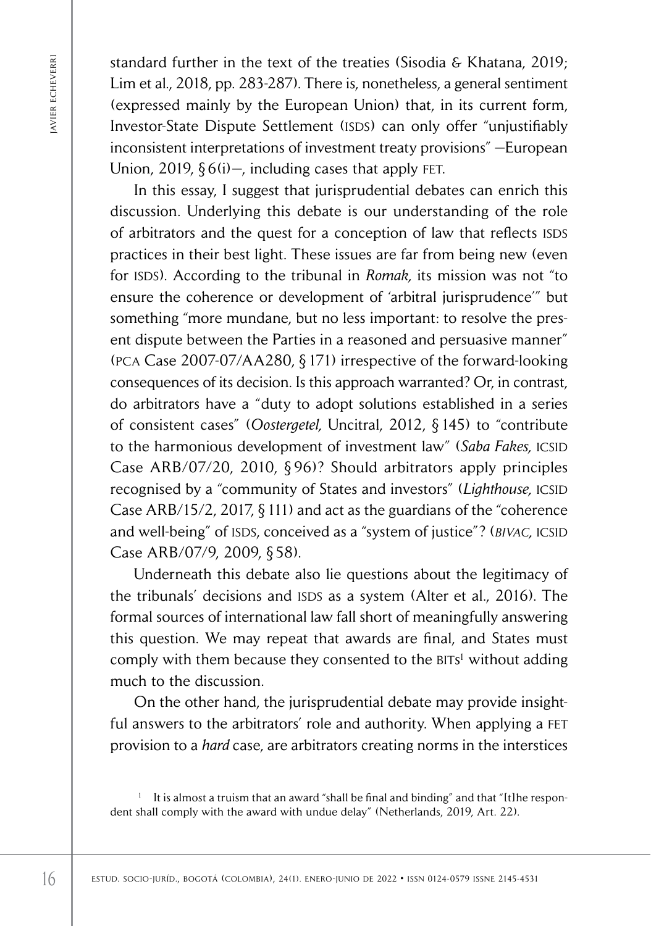standard further in the text of the treaties (Sisodia & Khatana, 2019; Lim et al*.*, 2018, pp. 283-287). There is, nonetheless, a general sentiment (expressed mainly by the European Union) that, in its current form, Investor-State Dispute Settlement (ISDS) can only offer "unjustifiably inconsistent interpretations of investment treaty provisions" —European Union, 2019,  $\S 6(i)$  –, including cases that apply FET.

3 standard further in the text of the treaties (Siocial & Khatana, 2018), pp. 283-287). There is, nonetheless, a general senting textpressed mainly by the European Union) that, in its current finduced text proposed mainl In this essay, I suggest that jurisprudential debates can enrich this discussion. Underlying this debate is our understanding of the role of arbitrators and the quest for a conception of law that reflects ISDS practices in their best light. These issues are far from being new (even for ISDS). According to the tribunal in *Romak*, its mission was not "to ensure the coherence or development of 'arbitral jurisprudence'" but something "more mundane, but no less important: to resolve the present dispute between the Parties in a reasoned and persuasive manner" (pca Case 2007-07/AA280, § 171) irrespective of the forward-looking consequences of its decision. Is this approach warranted? Or, in contrast, do arbitrators have a "duty to adopt solutions established in a series of consistent cases" (*Oostergetel,* Uncitral, 2012, § 145) to "contribute to the harmonious development of investment law" (*Saba Fakes*, *ICSID*) Case ARB/07/20, 2010, § 96)? Should arbitrators apply principles recognised by a "community of States and investors" (*Lighthouse*, ICSID Case ARB/15/2, 2017, § 111) and act as the guardians of the "coherence and well-being" of ISDS, conceived as a "system of justice"? (*BIVAC*, ICSID Case ARB/07/9, 2009, § 58).

Underneath this debate also lie questions about the legitimacy of the tribunals' decisions and ISDS as a system (Alter et al., 2016). The formal sources of international law fall short of meaningfully answering this question. We may repeat that awards are final, and States must comply with them because they consented to the BITs<sup>1</sup> without adding much to the discussion.

On the other hand, the jurisprudential debate may provide insightful answers to the arbitrators' role and authority. When applying a FET provision to a *hard* case, are arbitrators creating norms in the interstices

It is almost a truism that an award "shall be final and binding" and that "[t]he respondent shall comply with the award with undue delay" (Netherlands, 2019, Art. 22).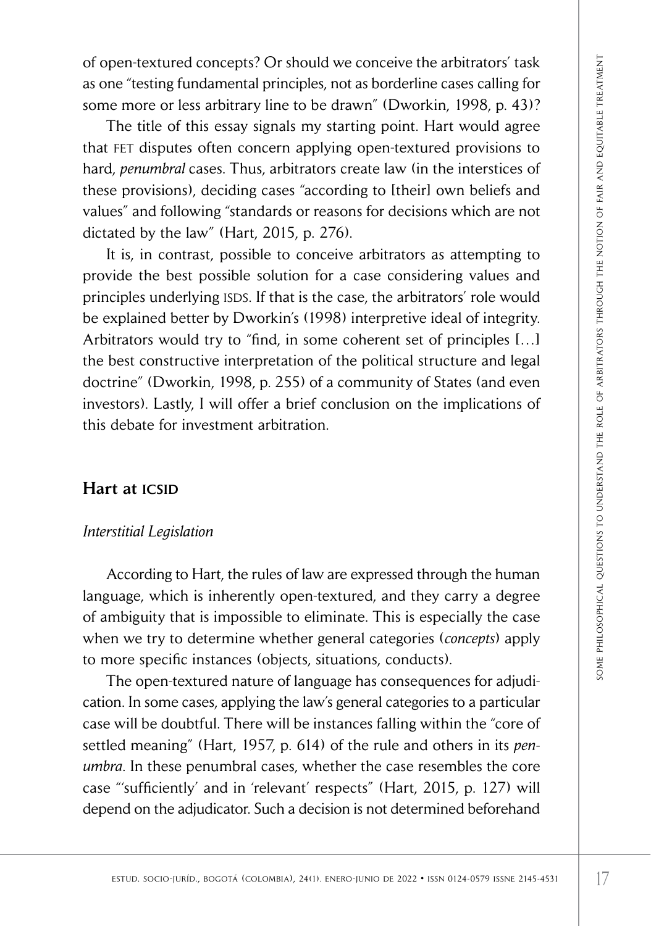of open-textured concepts? Or should we conceive the arbitrators' task as one "testing fundamental principles, not as borderline cases calling for some more or less arbitrary line to be drawn" (Dworkin, 1998, p. 43)?

The title of this essay signals my starting point. Hart would agree that fet disputes often concern applying open-textured provisions to hard, *penumbral* cases. Thus, arbitrators create law (in the interstices of these provisions), deciding cases "according to [their] own beliefs and values" and following "standards or reasons for decisions which are not dictated by the law" (Hart, 2015, p. 276).

ener lexturied conceres? Cor should we conceive the arbitrator task<br>
is no socio-junio de 2022 and the studing point. Hart would agree the "testing for the test of this essay signals my strating point. Hart would agree th It is, in contrast, possible to conceive arbitrators as attempting to provide the best possible solution for a case considering values and principles underlying ISDS. If that is the case, the arbitrators' role would be explained better by Dworkin's (1998) interpretive ideal of integrity. Arbitrators would try to "find, in some coherent set of principles […] the best constructive interpretation of the political structure and legal doctrine" (Dworkin, 1998, p. 255) of a community of States (and even investors). Lastly, I will offer a brief conclusion on the implications of this debate for investment arbitration.

# Hart at **ICSID**

#### *Interstitial Legislation*

According to Hart, the rules of law are expressed through the human language, which is inherently open-textured, and they carry a degree of ambiguity that is impossible to eliminate. This is especially the case when we try to determine whether general categories (*concepts*) apply to more specific instances (objects, situations, conducts).

The open-textured nature of language has consequences for adjudication. In some cases, applying the law's general categories to a particular case will be doubtful. There will be instances falling within the "core of settled meaning" (Hart, 1957, p. 614) of the rule and others in its *penumbra*. In these penumbral cases, whether the case resembles the core case "'sufficiently' and in 'relevant' respects" (Hart, 2015, p. 127) will depend on the adjudicator. Such a decision is not determined beforehand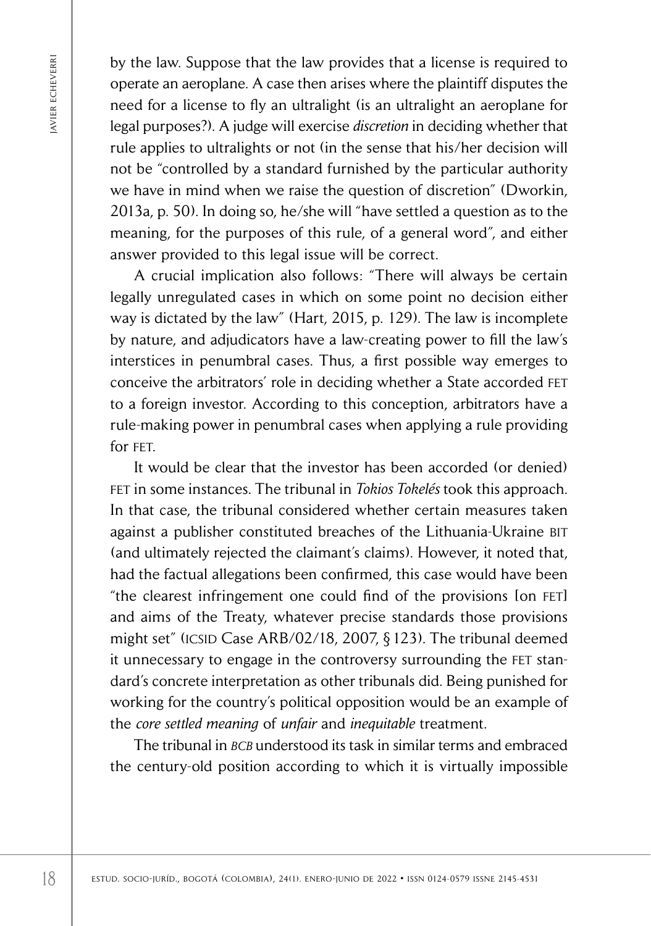by the law. Suppose that the law provides that a license is required to operate an aeroplane. A case then arises where the plaintiff disputes the need for a license to fly an ultralight (is an ultralight an aeroplane for legal purposes?). A judge will exercise *discretion* in deciding whether that rule applies to ultralights or not (in the sense that his/her decision will not be "controlled by a standard furnished by the particular authority we have in mind when we raise the question of discretion" (Dworkin, 2013a, p. 50). In doing so, he/she will "have settled a question as to the meaning, for the purposes of this rule, of a general word", and either answer provided to this legal issue will be correct.

A crucial implication also follows: "There will always be certain legally unregulated cases in which on some point no decision either way is dictated by the law" (Hart, 2015, p. 129). The law is incomplete by nature, and adjudicators have a law-creating power to fill the law's interstices in penumbral cases. Thus, a first possible way emerges to conceive the arbitrators' role in deciding whether a State accorded fet to a foreign investor. According to this conception, arbitrators have a rule-making power in penumbral cases when applying a rule providing for FFT

by the law. Suppose that the law provides that all identically the position of the constrained for a lieraries of the constrained for a lieraries of Arabital particles where the plaintiff dispute the paperbas Arabital par It would be clear that the investor has been accorded (or denied) fet in some instances. The tribunal in *Tokios Tokelés* took this approach. In that case, the tribunal considered whether certain measures taken against a publisher constituted breaches of the Lithuania-Ukraine bit (and ultimately rejected the claimant's claims). However, it noted that, had the factual allegations been confirmed, this case would have been "the clearest infringement one could find of the provisions [on fet] and aims of the Treaty, whatever precise standards those provisions might set" (ICSID Case ARB/02/18, 2007,  $\S$  123). The tribunal deemed it unnecessary to engage in the controversy surrounding the FET standard's concrete interpretation as other tribunals did. Being punished for working for the country's political opposition would be an example of the *core settled meaning* of *unfair* and *inequitable* treatment.

The tribunal in *bcb* understood its task in similar terms and embraced the century-old position according to which it is virtually impossible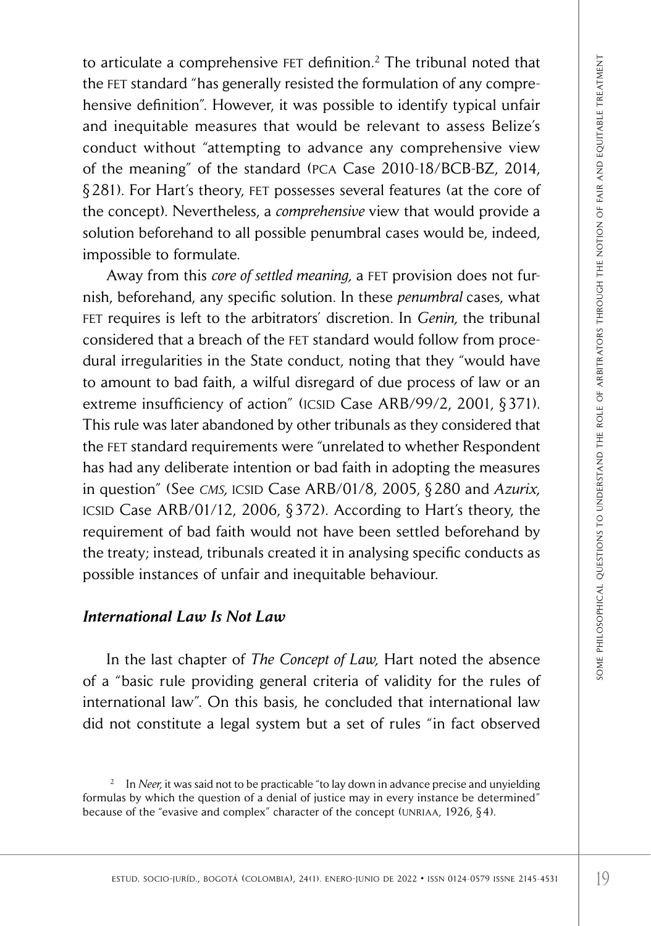to articulate a comprehensive FET definition.<sup>2</sup> The tribunal noted that the fet standard "has generally resisted the formulation of any comprehensive definition". However, it was possible to identify typical unfair and inequitable measures that would be relevant to assess Belize's conduct without "attempting to advance any comprehensive view of the meaning" of the standard (pca Case 2010-18/BCB-BZ, 2014, § 281). For Hart's theory, fet possesses several features (at the core of the concept). Nevertheless, a *comprehensive* view that would provide a solution beforehand to all possible penumbral cases would be, indeed, impossible to formulate.

estud. The triat of the triat of the triat of the sociological colombia). The triat of the colombia include the society of the society of the society of the society of the society of the studied treatment of areas being t Away from this *core of settled meaning*, a FET provision does not furnish, beforehand, any specific solution. In these *penumbral* cases, what fet requires is left to the arbitrators' discretion. In *Genin,* the tribunal considered that a breach of the fet standard would follow from procedural irregularities in the State conduct, noting that they "would have to amount to bad faith, a wilful disregard of due process of law or an extreme insufficiency of action" (ICSID Case ARB/99/2, 2001, §371). This rule was later abandoned by other tribunals as they considered that the FET standard requirements were "unrelated to whether Respondent has had any deliberate intention or bad faith in adopting the measures in question" (See *cms,* icsid Case ARB/01/8, 2005, § 280 and *Azurix,* icsid Case ARB/01/12, 2006, § 372). According to Hart's theory, the requirement of bad faith would not have been settled beforehand by the treaty; instead, tribunals created it in analysing specific conducts as possible instances of unfair and inequitable behaviour.

### *International Law Is Not Law*

In the last chapter of *The Concept of Law,* Hart noted the absence of a "basic rule providing general criteria of validity for the rules of international law". On this basis, he concluded that international law did not constitute a legal system but a set of rules "in fact observed

<sup>&</sup>lt;sup>2</sup> In *Neer*, it was said not to be practicable "to lay down in advance precise and unyielding formulas by which the question of a denial of justice may in every instance be determined" because of the "evasive and complex" character of the concept (UNRIAA, 1926, §4).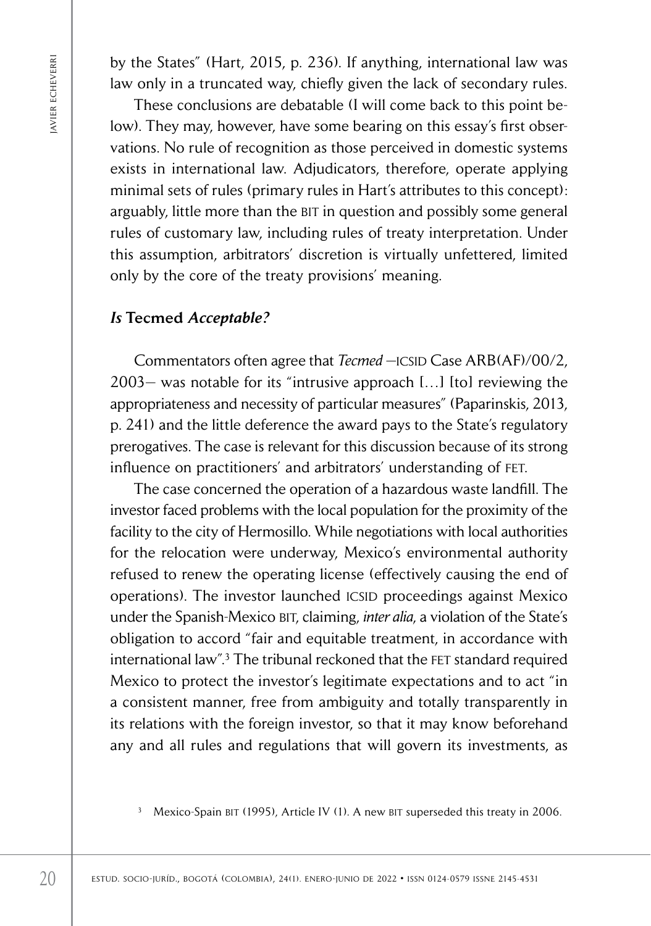by the States" (Hart, 2015, p. 236). If anything, international law was law only in a truncated way, chiefly given the lack of secondary rules.

These conclusions are debatable (I will come back to this point below). They may, however, have some bearing on this essay's first observations. No rule of recognition as those perceived in domestic systems exists in international law. Adjudicators, therefore, operate applying minimal sets of rules (primary rules in Hart's attributes to this concept): arguably, little more than the BIT in question and possibly some general rules of customary law, including rules of treaty interpretation. Under this assumption, arbitrators' discretion is virtually unfettered, limited only by the core of the treaty provisions' meaning.

# *Is* Tecmed *Acceptable?*

Commentators often agree that *Tecmed* - ICSID Case ARB(AF)/00/2, 2003— was notable for its "intrusive approach […] [to] reviewing the appropriateness and necessity of particular measures" (Paparinskis, 2013, p. 241) and the little deference the award pays to the State's regulatory prerogatives. The case is relevant for this discussion because of its strong influence on practitioners' and arbitrators' understanding of fet.

by the States' GHarra, 2015, p. 236). If myrthing, international law<br>since by the States' (Havin Context and the state of secondary These conclusions are debatable (1 will come back to this point outor). They may, however The case concerned the operation of a hazardous waste landfill. The investor faced problems with the local population for the proximity of the facility to the city of Hermosillo. While negotiations with local authorities for the relocation were underway, Mexico's environmental authority refused to renew the operating license (effectively causing the end of operations). The investor launched ICSID proceedings against Mexico under the Spanish-Mexico BIT, claiming, *inter alia*, a violation of the State's obligation to accord "fair and equitable treatment, in accordance with international law".<sup>3</sup> The tribunal reckoned that the FET standard required Mexico to protect the investor's legitimate expectations and to act "in a consistent manner, free from ambiguity and totally transparently in its relations with the foreign investor, so that it may know beforehand any and all rules and regulations that will govern its investments, as

Mexico-Spain BIT (1995), Article IV (1). A new BIT superseded this treaty in 2006.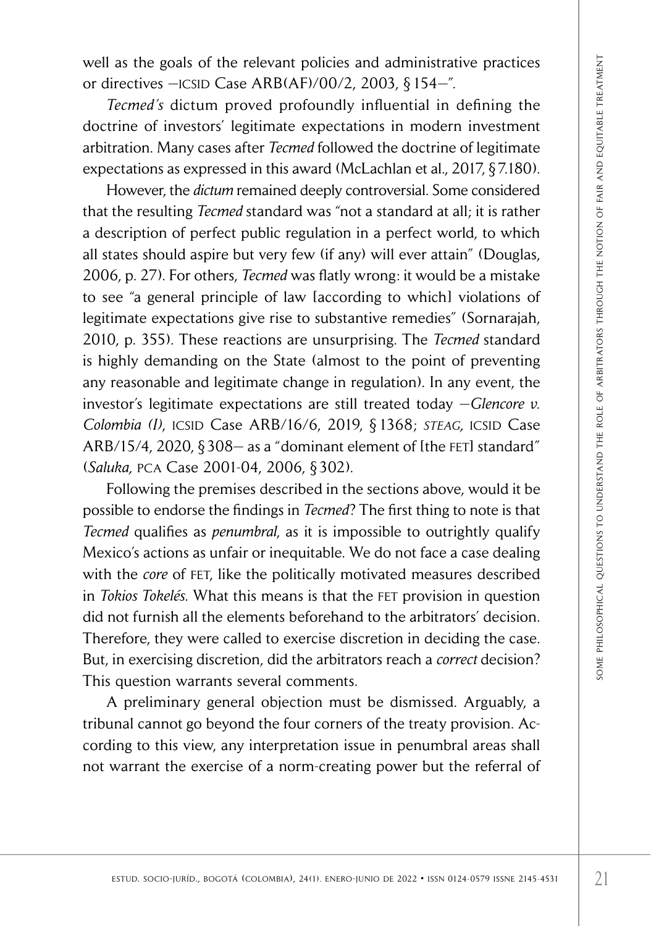well as the goals of the relevant policies and administrative practices or directives - ICSID Case ARB(AF)/00/2, 2003, § 154-".

*Tecmed's* dictum proved profoundly influential in defining the doctrine of investors' legitimate expectations in modern investment arbitration. Many cases after *Tecmed* followed the doctrine of legitimate expectations as expressed in this award (McLachlan et al., 2017, § 7.180).

as the goals of the relevant policies and administrative practices<br>
recrures  $-\frac{1}{\sqrt{2}}$  colombia), the relavant policies and administrative procedure of investors (eightmate expectations in modern investment ration. Many However, the *dictum* remained deeply controversial. Some considered that the resulting *Tecmed* standard was "not a standard at all; it is rather a description of perfect public regulation in a perfect world, to which all states should aspire but very few (if any) will ever attain" (Douglas, 2006, p. 27). For others, *Tecmed* was flatly wrong: it would be a mistake to see "a general principle of law [according to which] violations of legitimate expectations give rise to substantive remedies" (Sornarajah, 2010, p. 355). These reactions are unsurprising. The *Tecmed* standard is highly demanding on the State (almost to the point of preventing any reasonable and legitimate change in regulation). In any event, the investor's legitimate expectations are still treated today —*Glencore v. Colombia (I)*, icsid Case ARB/16/6, 2019, § 1368; *steag,* icsid Case ARB/15/4, 2020, §308- as a "dominant element of [the FET] standard" (*Saluka,* pca Case 2001-04, 2006, § 302).

Following the premises described in the sections above, would it be possible to endorse the findings in *Tecmed*? The first thing to note is that *Tecmed* qualifies as *penumbral*, as it is impossible to outrightly qualify Mexico's actions as unfair or inequitable. We do not face a case dealing with the *core* of FET, like the politically motivated measures described in *Tokios Tokelés*. What this means is that the fet provision in question did not furnish all the elements beforehand to the arbitrators' decision. Therefore, they were called to exercise discretion in deciding the case. But, in exercising discretion, did the arbitrators reach a *correct* decision? This question warrants several comments.

A preliminary general objection must be dismissed. Arguably, a tribunal cannot go beyond the four corners of the treaty provision. According to this view, any interpretation issue in penumbral areas shall not warrant the exercise of a norm-creating power but the referral of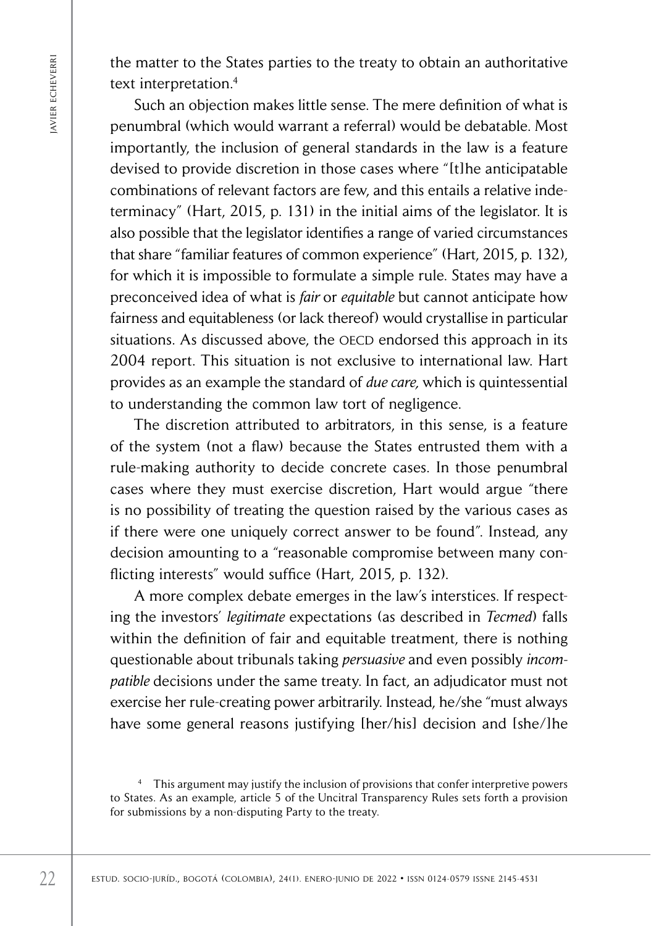the matter to the States parties to the treaty to obtain an authoritative text interpretation.<sup>4</sup>

Extramate to the Taxtes parties to the treaty to obtain an authorit extramelection.<br>
Such an objection makes little sense. The mere definition of we permultated with the would be debtable.<br>
inpurcharal winition of general Such an objection makes little sense. The mere definition of what is penumbral (which would warrant a referral) would be debatable. Most importantly, the inclusion of general standards in the law is a feature devised to provide discretion in those cases where "[t]he anticipatable combinations of relevant factors are few, and this entails a relative indeterminacy" (Hart, 2015, p. 131) in the initial aims of the legislator. It is also possible that the legislator identifies a range of varied circumstances that share "familiar features of common experience" (Hart, 2015, p. 132), for which it is impossible to formulate a simple rule. States may have a preconceived idea of what is *fair* or *equitable* but cannot anticipate how fairness and equitableness (or lack thereof) would crystallise in particular situations. As discussed above, the OECD endorsed this approach in its 2004 report. This situation is not exclusive to international law. Hart provides as an example the standard of *due care,* which is quintessential to understanding the common law tort of negligence.

The discretion attributed to arbitrators, in this sense, is a feature of the system (not a flaw) because the States entrusted them with a rule-making authority to decide concrete cases. In those penumbral cases where they must exercise discretion, Hart would argue "there is no possibility of treating the question raised by the various cases as if there were one uniquely correct answer to be found". Instead, any decision amounting to a "reasonable compromise between many conflicting interests" would suffice (Hart, 2015, p. 132).

A more complex debate emerges in the law's interstices. If respecting the investors' *legitimate* expectations (as described in *Tecmed*) falls within the definition of fair and equitable treatment, there is nothing questionable about tribunals taking *persuasive* and even possibly *incompatible* decisions under the same treaty. In fact, an adjudicator must not exercise her rule-creating power arbitrarily. Instead, he/she "must always have some general reasons justifying [her/his] decision and [she/]he

<sup>4</sup> This argument may justify the inclusion of provisions that confer interpretive powers to States. As an example, article 5 of the Uncitral Transparency Rules sets forth a provision for submissions by a non-disputing Party to the treaty.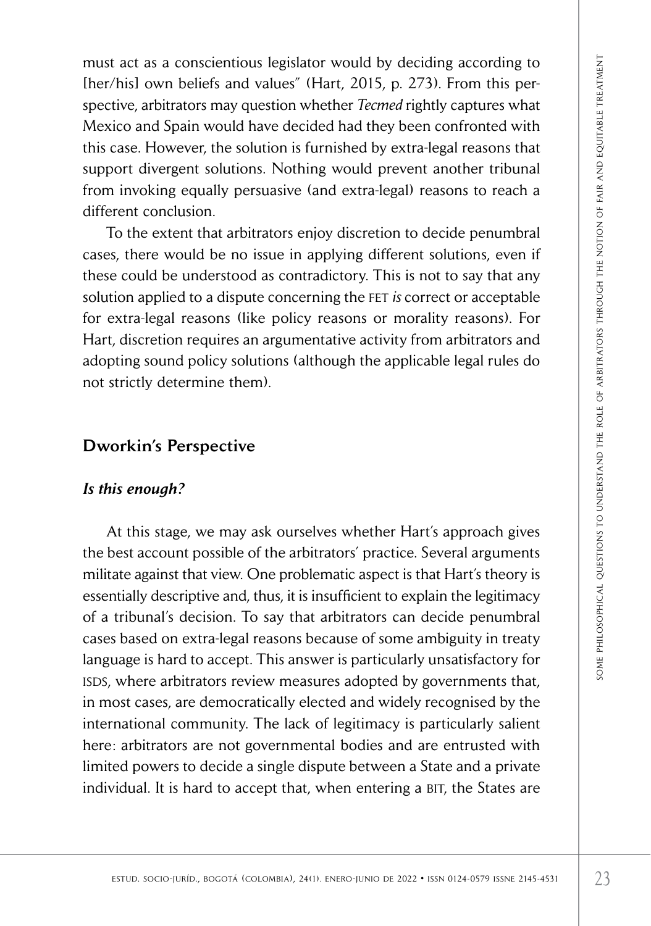must act as a conscientious legislator would by deciding according to [her/his] own beliefs and values" (Hart, 2015, p. 273). From this perspective, arbitrators may question whether *Tecmed* rightly captures what Mexico and Spain would have decided had they been confronted with this case. However, the solution is furnished by extra-legal reasons that support divergent solutions. Nothing would prevent another tribunal from invoking equally persuasive (and extra-legal) reasons to reach a different conclusion.

To the extent that arbitrators enjoy discretion to decide penumbral cases, there would be no issue in applying different solutions, even if these could be understood as contradictory. This is not to say that any solution applied to a dispute concerning the fet *is* correct or acceptable for extra-legal reasons (like policy reasons or morality reasons). For Hart, discretion requires an argumentative activity from arbitrators and adopting sound policy solutions (although the applicable legal rules do not strictly determine them).

## Dworkin's Perspective

#### *Is this enough?*

is a concernitions ligitlents would by decided hat the particular according to condinate the subtrators may question whether *Tecrned* rightly captures what the colombia State However, the solution is furnished by extra-le At this stage, we may ask ourselves whether Hart's approach gives the best account possible of the arbitrators' practice. Several arguments militate against that view. One problematic aspect is that Hart's theory is essentially descriptive and, thus, it is insufficient to explain the legitimacy of a tribunal's decision. To say that arbitrators can decide penumbral cases based on extra-legal reasons because of some ambiguity in treaty language is hard to accept. This answer is particularly unsatisfactory for isds, where arbitrators review measures adopted by governments that, in most cases, are democratically elected and widely recognised by the international community. The lack of legitimacy is particularly salient here: arbitrators are not governmental bodies and are entrusted with limited powers to decide a single dispute between a State and a private individual. It is hard to accept that, when entering a BIT, the States are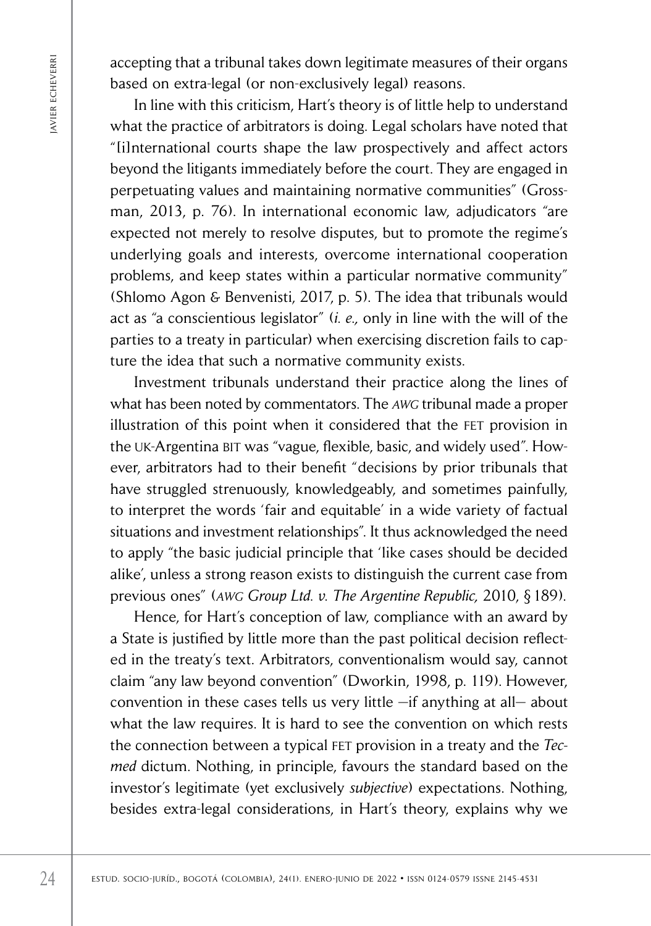accepting that a tribunal takes down legitimate measures of their organs based on extra-legal (or non-exclusively legal) reasons.

Extrained The internal sole of the socio-junio de socio-junio de 2022 is social to the conditive sociolation is both gala scholars be the proposition of a contribution is both gala scholars have noted the proposition of t In line with this criticism, Hart's theory is of little help to understand what the practice of arbitrators is doing. Legal scholars have noted that "[i]nternational courts shape the law prospectively and affect actors beyond the litigants immediately before the court. They are engaged in perpetuating values and maintaining normative communities" (Grossman, 2013, p. 76). In international economic law, adjudicators "are expected not merely to resolve disputes, but to promote the regime's underlying goals and interests, overcome international cooperation problems, and keep states within a particular normative community" (Shlomo Agon & Benvenisti, 2017, p. 5). The idea that tribunals would act as "a conscientious legislator" (*i. e.,* only in line with the will of the parties to a treaty in particular) when exercising discretion fails to capture the idea that such a normative community exists.

Investment tribunals understand their practice along the lines of what has been noted by commentators. The *awg* tribunal made a proper illustration of this point when it considered that the fet provision in the uk-Argentina bit was "vague, flexible, basic, and widely used". However, arbitrators had to their benefit "decisions by prior tribunals that have struggled strenuously, knowledgeably, and sometimes painfully, to interpret the words 'fair and equitable' in a wide variety of factual situations and investment relationships". It thus acknowledged the need to apply "the basic judicial principle that 'like cases should be decided alike', unless a strong reason exists to distinguish the current case from previous ones" (*awg Group Ltd. v. The Argentine Republic,* 2010, § 189).

Hence, for Hart's conception of law, compliance with an award by a State is justified by little more than the past political decision reflected in the treaty's text. Arbitrators, conventionalism would say, cannot claim "any law beyond convention" (Dworkin, 1998, p. 119). However, convention in these cases tells us very little —if anything at all— about what the law requires. It is hard to see the convention on which rests the connection between a typical FET provision in a treaty and the *Tecmed* dictum. Nothing, in principle, favours the standard based on the investor's legitimate (yet exclusively *subjective*) expectations. Nothing, besides extra-legal considerations, in Hart's theory, explains why we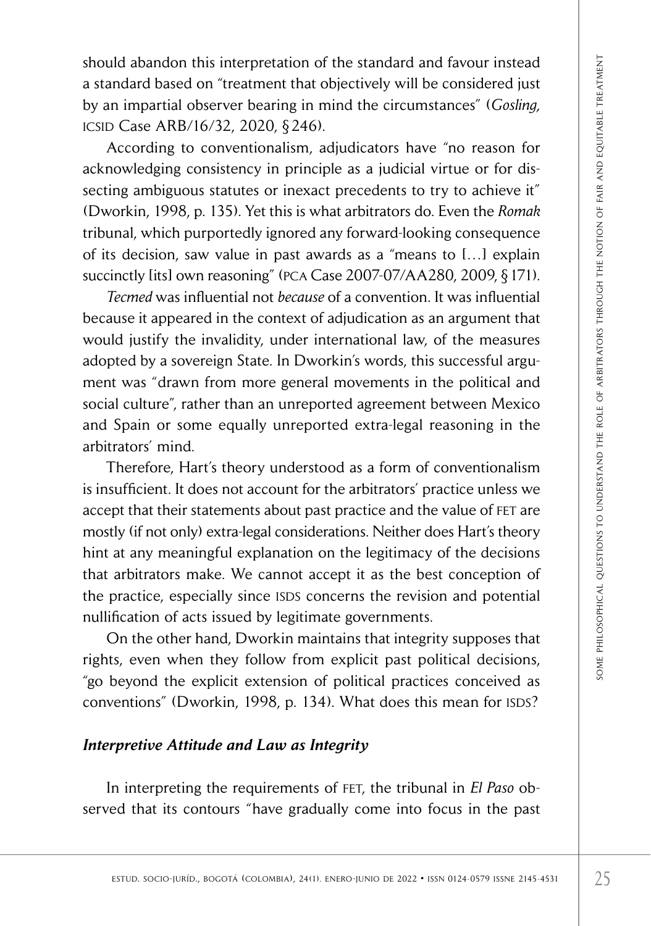should abandon this interpretation of the standard and favour instead a standard based on "treatment that objectively will be considered just by an impartial observer bearing in mind the circumstances" (*Gosling,* icsid Case ARB/16/32, 2020, § 246).

According to conventionalism, adjudicators have "no reason for acknowledging consistency in principle as a judicial virtue or for dissecting ambiguous statutes or inexact precedents to try to achieve it" (Dworkin, 1998, p. 135). Yet this is what arbitrators do. Even the *Romak* tribunal, which purportedly ignored any forward-looking consequence of its decision, saw value in past awards as a "means to […] explain succinctly [its] own reasoning" (PCA Case 2007-07/AA280, 2009, §171).

Id abandon this interpretation of the standard and favour instead<br>
increase ARB/16/32, 2020,  $\S$ 246).<br>
Caccare ARB/16/32, 2020,  $\S$ 246).<br>
Caccare ARB/16/32, 2020,  $\S$ 246).<br>
Caccareding to conventions is m, adjudicators ha *Tecmed* was influential not *because* of a convention. It was influential because it appeared in the context of adjudication as an argument that would justify the invalidity, under international law, of the measures adopted by a sovereign State. In Dworkin's words, this successful argument was "drawn from more general movements in the political and social culture", rather than an unreported agreement between Mexico and Spain or some equally unreported extra-legal reasoning in the arbitrators' mind.

Therefore, Hart's theory understood as a form of conventionalism is insufficient. It does not account for the arbitrators' practice unless we accept that their statements about past practice and the value of FET are mostly (if not only) extra-legal considerations. Neither does Hart's theory hint at any meaningful explanation on the legitimacy of the decisions that arbitrators make. We cannot accept it as the best conception of the practice, especially since ISDS concerns the revision and potential nullification of acts issued by legitimate governments.

On the other hand, Dworkin maintains that integrity supposes that rights, even when they follow from explicit past political decisions, "go beyond the explicit extension of political practices conceived as conventions" (Dworkin, 1998, p. 134). What does this mean for ISDS?

## *Interpretive Attitude and Law as Integrity*

In interpreting the requirements of fet, the tribunal in *El Paso* observed that its contours "have gradually come into focus in the past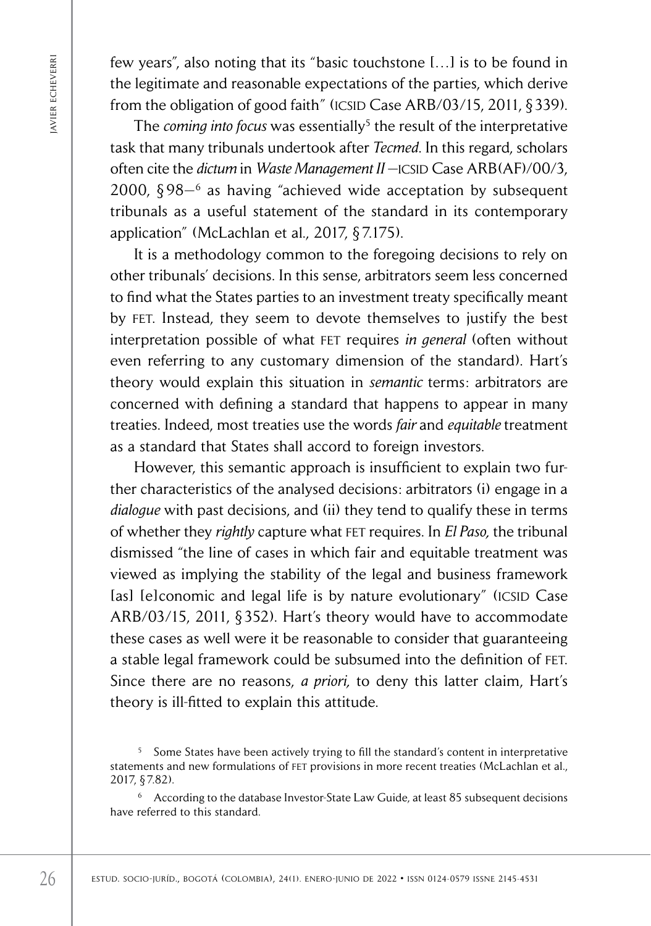few years", also noting that its "basic touchstone […] is to be found in the legitimate and reasonable expectations of the parties, which derive from the obligation of good faith" (ICSID Case ARB/03/15, 2011,  $\S$ 339).

The *coming into focus* was essentially<sup>5</sup> the result of the interpretative task that many tribunals undertook after *Tecmed*. In this regard, scholars often cite the *dictum* in *Waste Management II* - ICSID Case ARB(AF)/00/3, 2000,  $§ 98-<sup>6</sup>$  as having "achieved wide acceptation by subsequent tribunals as a useful statement of the standard in its contemporary application" (McLachlan et al*.*, 2017, § 7.175).

It is a methodology common to the foregoing decisions to rely on other tribunals' decisions. In this sense, arbitrators seem less concerned to find what the States parties to an investment treaty specifically meant by fet. Instead, they seem to devote themselves to justify the best interpretation possible of what fet requires *in general* (often without even referring to any customary dimension of the standard). Hart's theory would explain this situation in *semantic* terms: arbitrators are concerned with defining a standard that happens to appear in many treaties. Indeed, most treaties use the words *fair* and *equitable* treatment as a standard that States shall accord to foreign investors.

Every associated in the four socion in the four that is the socio-function and the socio-junio dependent of equal to the socio-junior the objection of good faith" (CSD Case ARB/03/15, 2011, §?<br>
The commig min focus was es However, this semantic approach is insufficient to explain two further characteristics of the analysed decisions: arbitrators (i) engage in a *dialogue* with past decisions, and (ii) they tend to qualify these in terms of whether they *rightly* capture what fet requires. In *El Paso,* the tribunal dismissed "the line of cases in which fair and equitable treatment was viewed as implying the stability of the legal and business framework [as] [e]conomic and legal life is by nature evolutionary" (ICSID Case ARB/03/15, 2011, § 352). Hart's theory would have to accommodate these cases as well were it be reasonable to consider that guaranteeing a stable legal framework could be subsumed into the definition of fet. Since there are no reasons, *a priori,* to deny this latter claim, Hart's theory is ill-fitted to explain this attitude.

<sup>5</sup> Some States have been actively trying to fill the standard's content in interpretative statements and new formulations of fet provisions in more recent treaties (McLachlan et al., 2017, § 7.82).

<sup>6</sup> According to the database Investor-State Law Guide, at least 85 subsequent decisions have referred to this standard.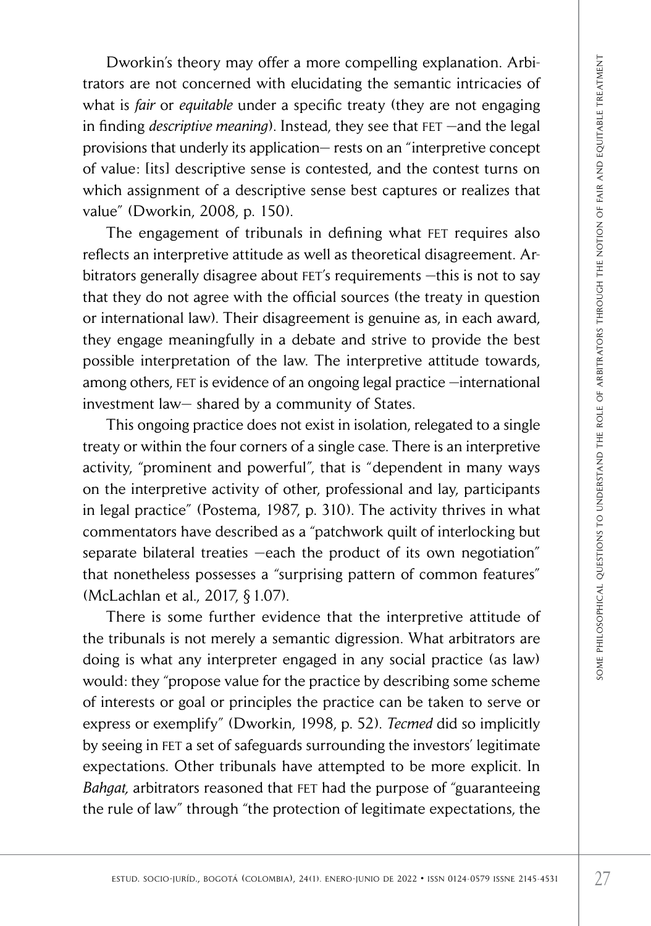Dworkin's theory may offer a more compelling explanation. Arbitrators are not concerned with elucidating the semantic intricacies of what is *fair* or *equitable* under a specific treaty (they are not engaging in finding *descriptive meaning*). Instead, they see that FET —and the legal provisions that underly its application— rests on an "interpretive concept of value: [its] descriptive sense is contested, and the contest turns on which assignment of a descriptive sense best captures or realizes that value" (Dworkin, 2008, p. 150).

The engagement of tribunals in defining what FET requires also reflects an interpretive attitude as well as theoretical disagreement. Arbitrators generally disagree about FET's requirements - this is not to say that they do not agree with the official sources (the treaty in question or international law). Their disagreement is genuine as, in each award, they engage meaningfully in a debate and strive to provide the best possible interpretation of the law. The interpretive attitude towards, among others,  $FET$  is evidence of an ongoing legal practice  $\rightarrow$  international investment law— shared by a community of States.

This ongoing practice does not exist in isolation, relegated to a single treaty or within the four corners of a single case. There is an interpretive activity, "prominent and powerful", that is "dependent in many ways on the interpretive activity of other, professional and lay, participants in legal practice" (Postema, 1987, p. 310). The activity thrives in what commentators have described as a "patchwork quilt of interlocking but separate bilateral treaties —each the product of its own negotiation" that nonetheless possesses a "surprising pattern of common features" (McLachlan et al., 2017, § 1.07).

by colonic the more compelling explanation. Arthor is a studient we set that the proposition is the studient of a specific treaty (they are not engaging description description of a specific treaty (they are not engaging There is some further evidence that the interpretive attitude of the tribunals is not merely a semantic digression. What arbitrators are doing is what any interpreter engaged in any social practice (as law) would: they "propose value for the practice by describing some scheme of interests or goal or principles the practice can be taken to serve or express or exemplify" (Dworkin, 1998, p. 52). *Tecmed* did so implicitly by seeing in FET a set of safeguards surrounding the investors' legitimate expectations. Other tribunals have attempted to be more explicit. In *Bahgat,* arbitrators reasoned that fet had the purpose of "guaranteeing the rule of law" through "the protection of legitimate expectations, the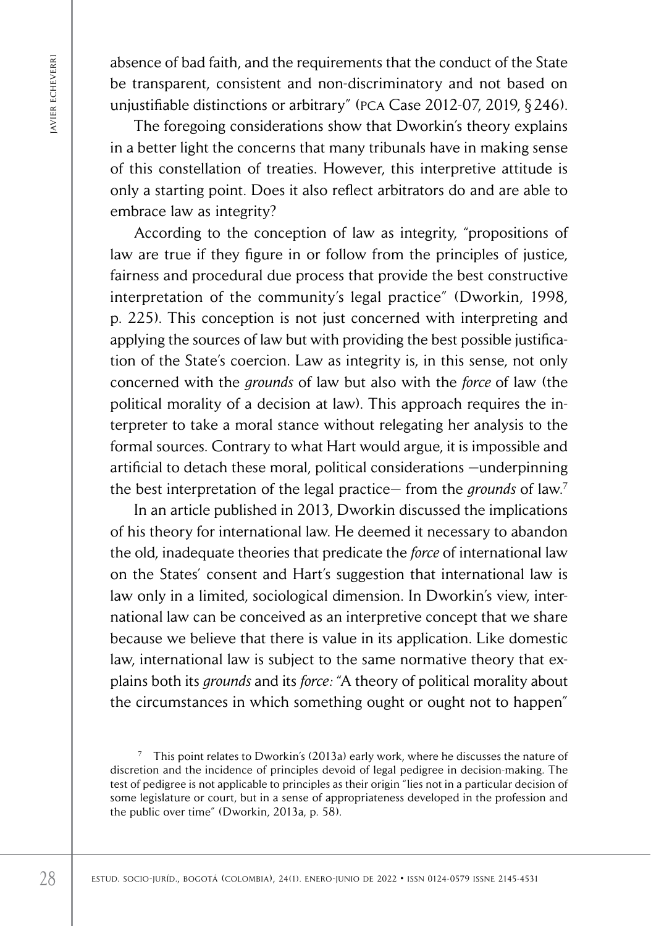absence of bad faith, and the requirements that the conduct of the State be transparent, consistent and non-discriminatory and not based on unjustifiable distinctions or arbitrary" (pca Case 2012-07, 2019, § 246).

The foregoing considerations show that Dworkin's theory explains in a better light the concerns that many tribunals have in making sense of this constellation of treaties. However, this interpretive attitude is only a starting point. Does it also reflect arbitrators do and are able to embrace law as integrity?

Estimate the requirements that the conduct of the best university of the proposition of the retargeoing consistents above that the conducts of the conduction of the colombia), in a better light the concerns that may tribu According to the conception of law as integrity, "propositions of law are true if they figure in or follow from the principles of justice, fairness and procedural due process that provide the best constructive interpretation of the community's legal practice" (Dworkin, 1998, p. 225). This conception is not just concerned with interpreting and applying the sources of law but with providing the best possible justification of the State's coercion. Law as integrity is, in this sense, not only concerned with the *grounds* of law but also with the *force* of law (the political morality of a decision at law). This approach requires the interpreter to take a moral stance without relegating her analysis to the formal sources. Contrary to what Hart would argue, it is impossible and artificial to detach these moral, political considerations —underpinning the best interpretation of the legal practice— from the *grounds* of law.7

In an article published in 2013, Dworkin discussed the implications of his theory for international law. He deemed it necessary to abandon the old, inadequate theories that predicate the *force* of international law on the States' consent and Hart's suggestion that international law is law only in a limited, sociological dimension. In Dworkin's view, international law can be conceived as an interpretive concept that we share because we believe that there is value in its application. Like domestic law, international law is subject to the same normative theory that explains both its *grounds* and its *force:* "A theory of political morality about the circumstances in which something ought or ought not to happen"

 $7$  This point relates to Dworkin's (2013a) early work, where he discusses the nature of discretion and the incidence of principles devoid of legal pedigree in decision-making. The test of pedigree is not applicable to principles as their origin "lies not in a particular decision of some legislature or court, but in a sense of appropriateness developed in the profession and the public over time" (Dworkin, 2013a, p. 58).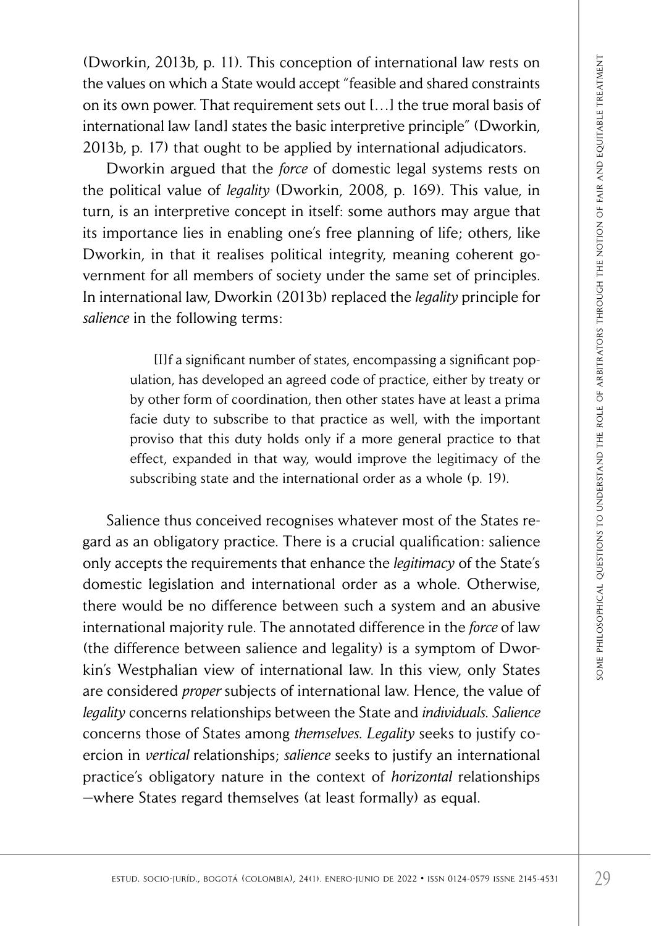(Dworkin, 2013b, p. 11). This conception of international law rests on the values on which a State would accept "feasible and shared constraints on its own power. That requirement sets out […] the true moral basis of international law [and] states the basic interpretive principle" (Dworkin, 2013b, p. 17) that ought to be applied by international adjudicators.

Dworkin argued that the *force* of domestic legal systems rests on the political value of *legality* (Dworkin, 2008, p. 169). This value, in turn, is an interpretive concept in itself: some authors may argue that its importance lies in enabling one's free planning of life; others, like Dworkin, in that it realises political integrity, meaning coherent government for all members of society under the same set of principles. In international law, Dworkin (2013b) replaced the *legality* principle for *salience* in the following terms:

> [I]f a significant number of states, encompassing a significant population, has developed an agreed code of practice, either by treaty or by other form of coordination, then other states have at least a prima facie duty to subscribe to that practice as well, with the important proviso that this duty holds only if a more general practice to that effect, expanded in that way, would improve the legitimacy of the subscribing state and the international order as a whole (p. 19).

erstudent and the society of the State solid and the rest onero-<br>jurisdes on which a State would accept "feasible interpreticie parameters of social (...) the true moral basis of some protector that requirement sets out 1. Salience thus conceived recognises whatever most of the States regard as an obligatory practice. There is a crucial qualification: salience only accepts the requirements that enhance the *legitimacy* of the State's domestic legislation and international order as a whole. Otherwise, there would be no difference between such a system and an abusive international majority rule. The annotated difference in the *force* of law (the difference between salience and legality) is a symptom of Dworkin's Westphalian view of international law. In this view, only States are considered *proper* subjects of international law. Hence, the value of *legality* concerns relationships between the State and *individuals*. *Salience* concerns those of States among *themselves*. *Legality* seeks to justify coercion in *vertical* relationships; *salience* seeks to justify an international practice's obligatory nature in the context of *horizontal* relationships —where States regard themselves (at least formally) as equal.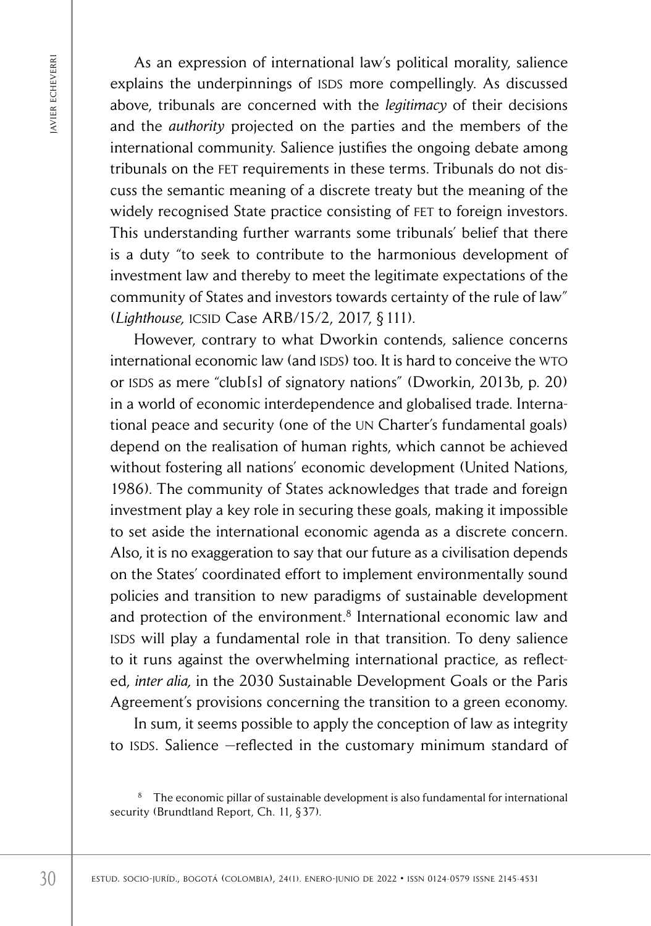As an expression of international law's political morality, salience explains the underpinnings of ISDS more compellingly. As discussed above, tribunals are concerned with the *legitimacy* of their decisions and the *authority* projected on the parties and the members of the international community. Salience justifies the ongoing debate among tribunals on the fet requirements in these terms. Tribunals do not discuss the semantic meaning of a discrete treaty but the meaning of the widely recognised State practice consisting of FET to foreign investors. This understanding further warrants some tribunals' belief that there is a duty "to seek to contribute to the harmonious development of investment law and thereby to meet the legitimate expectations of the community of States and investors towards certainty of the rule of law" (*Lighthouse,* icsid Case ARB/15/2, 2017, § 111).

<sup>25</sup> est unit entable and the enero-streament law isspectively, solitical morality, said<br>solitical more compellingly. As discussed with the *legitimacy* of their decision<br>and the *ure international* community. Salience in However, contrary to what Dworkin contends, salience concerns international economic law (and ISDS) too. It is hard to conceive the WTO or ISDS as mere "club[s] of signatory nations" (Dworkin, 2013b, p. 20) in a world of economic interdependence and globalised trade. International peace and security (one of the un Charter's fundamental goals) depend on the realisation of human rights, which cannot be achieved without fostering all nations' economic development (United Nations, 1986). The community of States acknowledges that trade and foreign investment play a key role in securing these goals, making it impossible to set aside the international economic agenda as a discrete concern. Also, it is no exaggeration to say that our future as a civilisation depends on the States' coordinated effort to implement environmentally sound policies and transition to new paradigms of sustainable development and protection of the environment.<sup>8</sup> International economic law and ISDS will play a fundamental role in that transition. To deny salience to it runs against the overwhelming international practice, as reflected, *inter alia,* in the 2030 Sustainable Development Goals or the Paris Agreement's provisions concerning the transition to a green economy.

In sum, it seems possible to apply the conception of law as integrity to ISDS. Salience -reflected in the customary minimum standard of

<sup>&</sup>lt;sup>8</sup> The economic pillar of sustainable development is also fundamental for international security (Brundtland Report, Ch. 11, §37).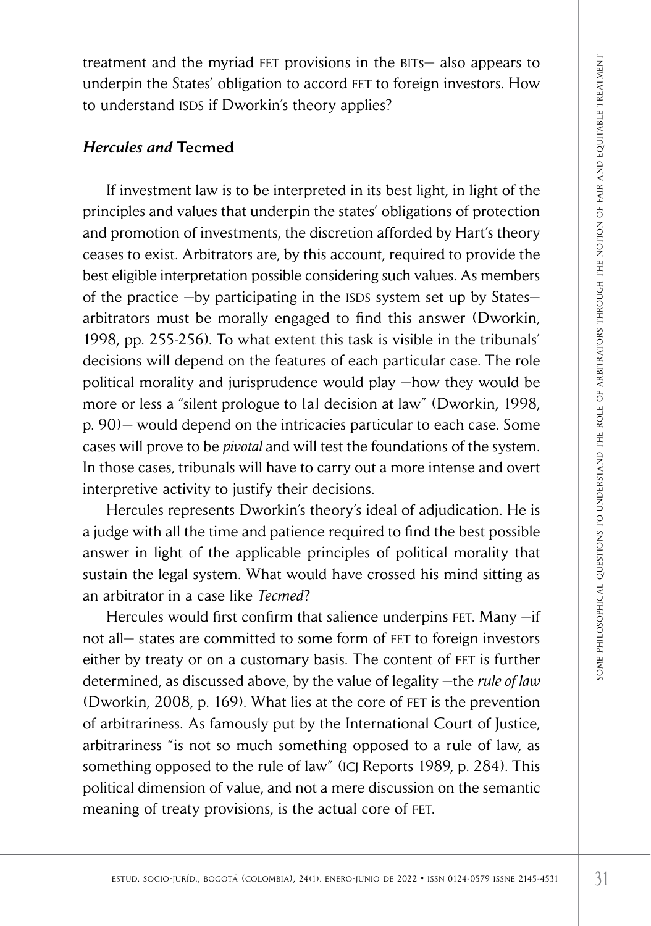treatment and the myriad fet provisions in the bits— also appears to underpin the States' obligation to accord fet to foreign investors. How to understand ISDS if Dworkin's theory applies?

## *Hercules and* Tecmed

ment and the myridle TF provisions in the BTs-also appears to<br>step in the States' obligation to accord FET to foreign investors. However, the determinant law is to be interpreted in its best light, in light of the spin en If investment law is to be interpreted in its best light, in light of the principles and values that underpin the states' obligations of protection and promotion of investments, the discretion afforded by Hart's theory ceases to exist. Arbitrators are, by this account, required to provide the best eligible interpretation possible considering such values. As members of the practice  $-$ by participating in the ISDS system set up by States $$ arbitrators must be morally engaged to find this answer (Dworkin, 1998, pp. 255-256). To what extent this task is visible in the tribunals' decisions will depend on the features of each particular case. The role political morality and jurisprudence would play —how they would be more or less a "silent prologue to [a] decision at law" (Dworkin, 1998, p. 90)— would depend on the intricacies particular to each case. Some cases will prove to be *pivotal* and will test the foundations of the system. In those cases, tribunals will have to carry out a more intense and overt interpretive activity to justify their decisions.

Hercules represents Dworkin's theory's ideal of adjudication. He is a judge with all the time and patience required to find the best possible answer in light of the applicable principles of political morality that sustain the legal system. What would have crossed his mind sitting as an arbitrator in a case like *Tecmed*?

Hercules would first confirm that salience underpins FET. Many -if not all- states are committed to some form of FET to foreign investors either by treaty or on a customary basis. The content of FET is further determined, as discussed above, by the value of legality —the *rule of law*  (Dworkin, 2008, p. 169). What lies at the core of FET is the prevention of arbitrariness. As famously put by the International Court of Justice, arbitrariness "is not so much something opposed to a rule of law, as something opposed to the rule of law" (ICJ Reports 1989, p. 284). This political dimension of value, and not a mere discussion on the semantic meaning of treaty provisions, is the actual core of fet.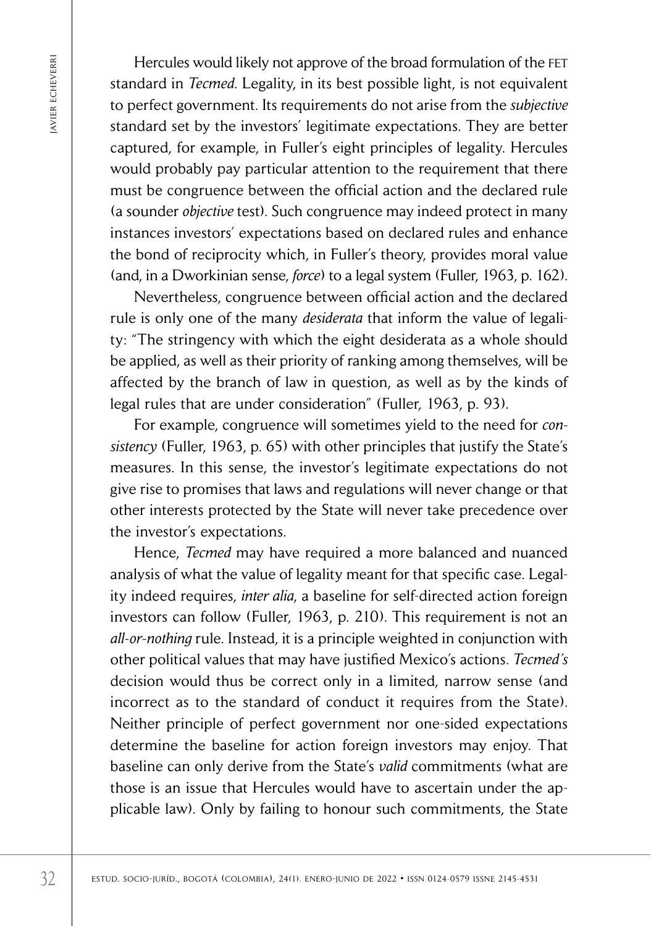Hercules would likely not approve of the broad formulation of the FET standard in *Tecmed*. Legality, in its best possible light, is not equivalent to perfect government. Its requirements do not arise from the *subjective* standard set by the investors' legitimate expectations. They are better captured, for example, in Fuller's eight principles of legality. Hercules would probably pay particular attention to the requirement that there must be congruence between the official action and the declared rule (a sounder *objective* test). Such congruence may indeed protect in many instances investors' expectations based on declared rules and enhance the bond of reciprocity which, in Fuller's theory, provides moral value (and, in a Dworkinian sense, *force*) to a legal system (Fuller, 1963, p. 162).

Nevertheless, congruence between official action and the declared rule is only one of the many *desiderata* that inform the value of legality: "The stringency with which the eight desiderata as a whole should be applied, as well as their priority of ranking among themselves, will be affected by the branch of law in question, as well as by the kinds of legal rules that are under consideration" (Fuller, 1963, p. 93).

For example, congruence will sometimes yield to the need for *consistency* (Fuller, 1963, p. 65) with other principles that justify the State's measures. In this sense, the investor's legitimate expectations do not give rise to promises that laws and regulations will never change or that other interests protected by the State will never take precedence over the investor's expectations.

Fractic sociologies and in the interaction of the interaction of the broad formal interaction of the state of the state of the state of the interaction of the interaction. They are the stated as captured, for example, in Hence, *Tecmed* may have required a more balanced and nuanced analysis of what the value of legality meant for that specific case. Legality indeed requires, *inter alia*, a baseline for self-directed action foreign investors can follow (Fuller, 1963, p. 210). This requirement is not an *all-or-nothing* rule. Instead, it is a principle weighted in conjunction with other political values that may have justified Mexico's actions. *Tecmed's* decision would thus be correct only in a limited, narrow sense (and incorrect as to the standard of conduct it requires from the State). Neither principle of perfect government nor one-sided expectations determine the baseline for action foreign investors may enjoy. That baseline can only derive from the State's *valid* commitments (what are those is an issue that Hercules would have to ascertain under the applicable law). Only by failing to honour such commitments, the State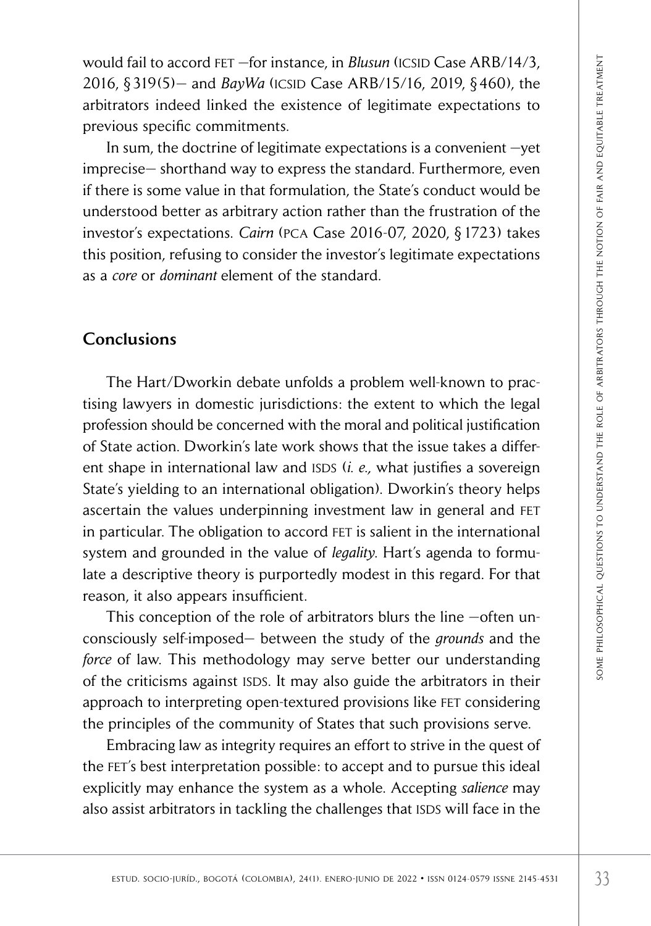would fail to accord FET –for instance, in *Blusun* (ICSID Case ARB/14/3, 2016, § 319(5)— and *BayWa* (icsid Case ARB/15/16, 2019, § 460), the arbitrators indeed linked the existence of legitimate expectations to previous specific commitments.

In sum, the doctrine of legitimate expectations is a convenient —yet imprecise— shorthand way to express the standard. Furthermore, even if there is some value in that formulation, the State's conduct would be understood better as arbitrary action rather than the frustration of the investor's expectations. *Cairn* (pca Case 2016-07, 2020, § 1723) takes this position, refusing to consider the investor's legitimate expectations as a *core* or *dominant* element of the standard.

# **Conclusions**

In this to according the mixtures, in *Blustin* (CCSID: Case ARB/15/16, 2019, §460), the<br>strotts indeed linked the existence of legitimate expectations to<br>uois specific committents.<br>
source in the decrine of legitimate ex The Hart/Dworkin debate unfolds a problem well-known to practising lawyers in domestic jurisdictions: the extent to which the legal profession should be concerned with the moral and political justification of State action. Dworkin's late work shows that the issue takes a different shape in international law and ISDS (*i. e.*, what justifies a sovereign State's yielding to an international obligation). Dworkin's theory helps ascertain the values underpinning investment law in general and fet in particular. The obligation to accord FET is salient in the international system and grounded in the value of *legality*. Hart's agenda to formulate a descriptive theory is purportedly modest in this regard. For that reason, it also appears insufficient.

This conception of the role of arbitrators blurs the line -often unconsciously self-imposed— between the study of the *grounds* and the *force* of law. This methodology may serve better our understanding of the criticisms against ISDS. It may also guide the arbitrators in their approach to interpreting open-textured provisions like fet considering the principles of the community of States that such provisions serve.

Embracing law as integrity requires an effort to strive in the quest of the FET's best interpretation possible: to accept and to pursue this ideal explicitly may enhance the system as a whole. Accepting *salience* may also assist arbitrators in tackling the challenges that ISDS will face in the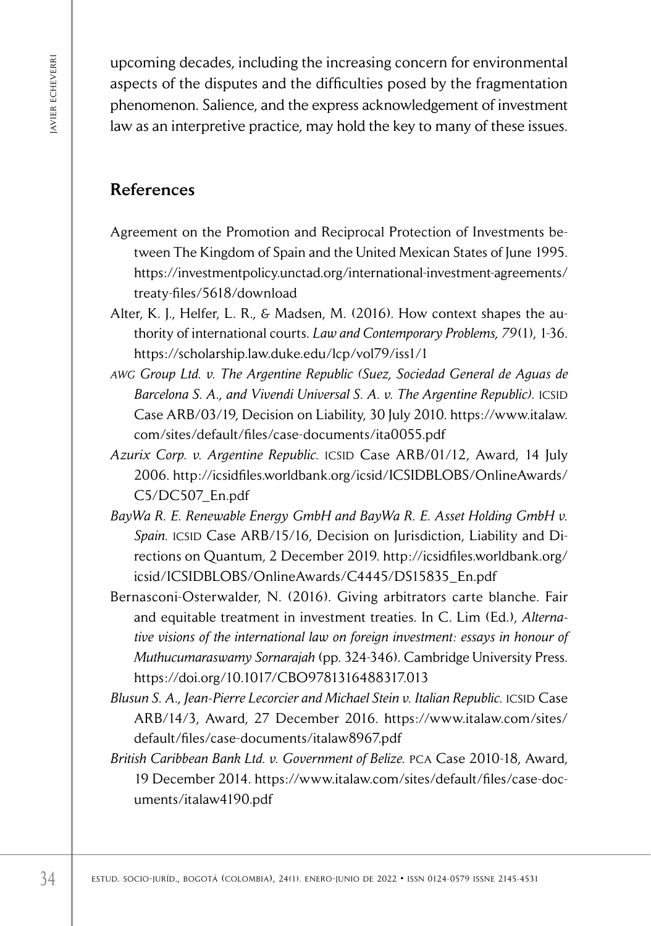upcoming decades, including the increasing concern for environmental aspects of the disputes and the difficulties posed by the fragmentation phenomenon. Salience, and the express acknowledgement of investment law as an interpretive practice, may hold the key to many of these issues.

# References

- Agreement on the Promotion and Reciprocal Protection of Investments between The Kingdom of Spain and the United Mexican States of June 1995. [https://investmentpolicy.unctad.org/international-investment-agreements/](https://investmentpolicy.unctad.org/international-investment-agreements/treaty-files/5618/download) [treaty-files/5618/download](https://investmentpolicy.unctad.org/international-investment-agreements/treaty-files/5618/download)
- Alter, K. J., Helfer, L. R., & Madsen, M. (2016). How context shapes the authority of international courts. *Law and Contemporary Problems, 79*(1), 1-36. <https://scholarship.law.duke.edu/lcp/vol79/iss1/1>
- *awg Group Ltd. v. The Argentine Republic (Suez, Sociedad General de Aguas de*  Barcelona S. A., and Vivendi Universal S. A. v. The Argentine Republic). ICSID Case ARB/03/19, Decision on Liability, 30 July 2010. [https://www.italaw.](https://www.italaw.com/sites/default/files/case-documents/ita0055.pdf) [com/sites/default/files/case-documents/ita0055.pdf](https://www.italaw.com/sites/default/files/case-documents/ita0055.pdf)
- Azurix Corp. v. Argentine Republic. ICSID Case ARB/01/12, Award, 14 July 2006. [http://icsidfiles.worldbank.org/icsid/ICSIDBLOBS/OnlineAwards/](http://icsidfiles.worldbank.org/icsid/ICSIDBLOBS/OnlineAwards/C5/DC507_En.pdf) [C5/DC507\\_En.pdf](http://icsidfiles.worldbank.org/icsid/ICSIDBLOBS/OnlineAwards/C5/DC507_En.pdf)
- *BayWa R. E. Renewable Energy GmbH and BayWa R. E. Asset Holding GmbH v.*  Spain. ICSID Case ARB/15/16, Decision on Jurisdiction, Liability and Directions on Quantum, 2 December 2019. [http://icsidfiles.worldbank.org/](http://icsidfiles.worldbank.org/icsid/ICSIDBLOBS/OnlineAwards/C4445/DS15835_En.pdf) [icsid/ICSIDBLOBS/OnlineAwards/C4445/DS15835\\_En.pdf](http://icsidfiles.worldbank.org/icsid/ICSIDBLOBS/OnlineAwards/C4445/DS15835_En.pdf)
- 34 estud. Sociological metric issness and the external of enero-junior procedure and the external phenomenon. Salience, and the externes acknowledgement of investigation of the student control in the system of investigati Bernasconi-Osterwalder, N. (2016). Giving arbitrators carte blanche. Fair and equitable treatment in investment treaties. In C. Lim (Ed.), *Alternative visions of the international law on foreign investment: essays in honour of Muthucumaraswamy Sornarajah* (pp. 324-346). Cambridge University Press. <https://doi.org/10.1017/CBO9781316488317.013>
	- Blusun S. A., Jean-Pierre Lecorcier and Michael Stein v. Italian Republic. ICSID Case ARB/14/3, Award, 27 December 2016. [https://www.italaw.com/sites/](https://www.italaw.com/sites/default/files/case-documents/italaw8967.pdf) [default/files/case-documents/italaw8967.pdf](https://www.italaw.com/sites/default/files/case-documents/italaw8967.pdf)
	- *British Caribbean Bank Ltd. v. Government of Belize.* pca Case 2010-18, Award, 19 December 2014. [https://www.italaw.com/sites/default/files/case-doc](https://www.italaw.com/sites/default/files/case-documents/italaw4190.pdf)[uments/italaw4190.pdf](https://www.italaw.com/sites/default/files/case-documents/italaw4190.pdf)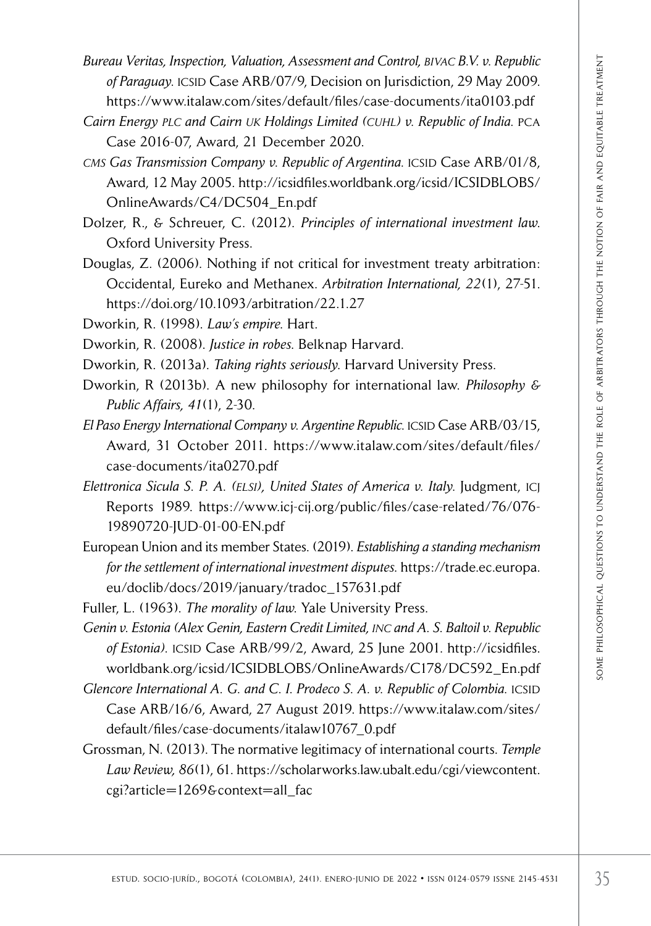- *Bureau Veritas, Inspection, Valuation, Assessment and Control, bivac B.V. v. Republic*  of Paraguay. ICSID Case ARB/07/9. Decision on Jurisdiction, 29 May 2009. <https://www.italaw.com/sites/default/files/case-documents/ita0103.pdf>
- *Cairn Energy plc and Cairn uk Holdings Limited (cuhl) v. Republic of India.* pca Case 2016-07, Award, 21 December 2020.
- *CMS Gas Transmission Company v. Republic of Argentina. ICSID Case ARB/01/8,* Award, 12 May 2005. [http://icsidfiles.worldbank.org/icsid/ICSIDBLOBS/](http://icsidfiles.worldbank.org/icsid/ICSIDBLOBS/OnlineAwards/C4/DC504_En.pdf) [OnlineAwards/C4/DC504\\_En.pdf](http://icsidfiles.worldbank.org/icsid/ICSIDBLOBS/OnlineAwards/C4/DC504_En.pdf)
- Dolzer, R., & Schreuer, C. (2012). *Principles of international investment law*. Oxford University Press.
- Douglas, Z. (2006). Nothing if not critical for investment treaty arbitration: Occidental, Eureko and Methanex. *Arbitration International, 22*(1), 27-51. <https://doi.org/10.1093/arbitration/22.1.27>
- Dworkin, R. (1998). *Law's empire*. Hart.
- Dworkin, R. (2008). *Justice in robes*. Belknap Harvard.
- Dworkin, R. (2013a). *Taking rights seriously*. Harvard University Press.
- Dworkin, R (2013b). A new philosophy for international law. *Philosophy & Public Affairs, 41*(1), 2-30.
- *El Paso Energy International Company v. Argentine Republic.* icsid Case ARB/03/15, Award, 31 October 2011. [https://www.italaw.com/sites/default/files/](https://www.italaw.com/sites/default/files/case-documents/ita0270.pdf) [case-documents/ita0270.pdf](https://www.italaw.com/sites/default/files/case-documents/ita0270.pdf)
- *Elettronica Sicula S. P. A. (elsi), United States of America v. Italy.* Judgment, icj Reports 1989. [https://www.icj-cij.org/public/files/case-related/76/076-](https://www.icj-cij.org/public/files/case-related/76/076-19890720-JUD-01-00-EN.pdf) [19890720-JUD-01-00-EN.pdf](https://www.icj-cij.org/public/files/case-related/76/076-19890720-JUD-01-00-EN.pdf)
- European Union and its member States. (2019). *Establishing a standing mechanism for the settlement of international investment disputes*. [https://trade.ec.europa.](https://trade.ec.europa.eu/doclib/docs/2019/january/tradoc_157631.pdf) [eu/doclib/docs/2019/january/tradoc\\_157631.pdf](https://trade.ec.europa.eu/doclib/docs/2019/january/tradoc_157631.pdf)
- Fuller, L. (1963). *The morality of law*. Yale University Press.

IV Perrins, hyperaturine, Valuation, Assessment and Controls, Boy κ. Republic<br>
Studio - Variation, Valuation (Valuation), Suitable (1). Enero-formation (1). Enero-junio de 2014-057/www.itdations of Aristophical questions *Genin v. Estonia (Alex Genin, Eastern Credit Limited, inc and A. S. Baltoil v. Republic*  of Estonia). ICSID Case ARB/99/2, Award, 25 June 2001. [http://icsidfiles.](http://icsidfiles.worldbank.org/icsid/ICSIDBLOBS/OnlineAwards/C178/DC592_En.pdf) worldbank.org/icsid/ICSIDBLOBS[/OnlineAwards/C178/DC592\\_En.pdf](http://icsidfiles.worldbank.org/icsid/ICSIDBLOBS/OnlineAwards/C178/DC592_En.pdf)

- *Glencore International A. G. and C. I. Prodeco S. A. v. Republic of Colombia. ICSID* Case ARB/16/6, Award, 27 August 2019. [https://www.italaw.com/sites/](https://www.italaw.com/sites/default/files/case-documents/italaw10767_0.pdf) [default/files/case-documents/italaw10767\\_0.pdf](https://www.italaw.com/sites/default/files/case-documents/italaw10767_0.pdf)
- Grossman, N. (2013). The normative legitimacy of international courts. *Temple Law Review, 86*(1), 61. [https://scholarworks.law.ubalt.edu/cgi/viewcontent.](https://scholarworks.law.ubalt.edu/cgi/viewcontent.cgi?article=1269&context=all_fac) [cgi?article=1269&context=all\\_fac](https://scholarworks.law.ubalt.edu/cgi/viewcontent.cgi?article=1269&context=all_fac)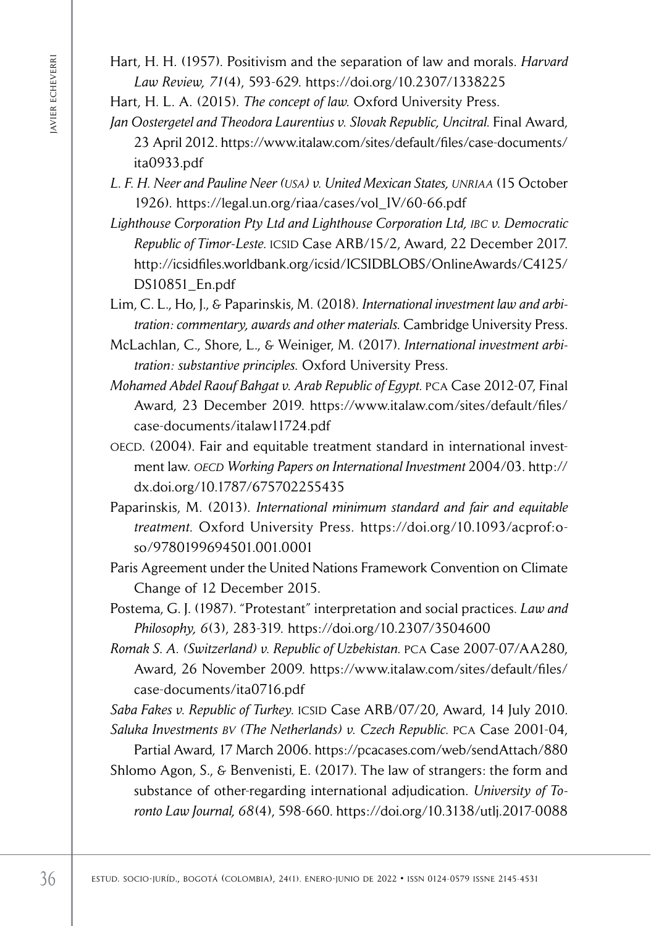Hart, H. H. (1957). Positivism and the separation of law and morals. *Harvard Law Review, 71*(4), 593-629. <https://doi.org/10.2307/1338225>

Hart, H. L. A. (2015). *The concept of law*. Oxford University Press.

- *Jan Oostergetel and Theodora Laurentius v. Slovak Republic, Uncitral.* Final Award, 23 April 2012. [https://www.italaw.com/sites/default/files/case-documents/](https://www.italaw.com/sites/default/files/case-documents/ita0933.pdf) [ita0933.pdf](https://www.italaw.com/sites/default/files/case-documents/ita0933.pdf)
- *L. F. H. Neer and Pauline Neer (usa) v. United Mexican States, unriaa* (15 October 1926). [https://legal.un.org/riaa/cases/vol\\_IV/60-66.pdf](https://legal.un.org/riaa/cases/vol_IV/60-66.pdf)
- *Lighthouse Corporation Pty Ltd and Lighthouse Corporation Ltd, ibc v. Democratic Republic of Timor-Leste.* icsid Case ARB/15/2, Award, 22 December 2017. [http://icsidfiles.worldbank.org/icsid/ICSIDBLOBS/OnlineAwards/C4125/](http://icsidfiles.worldbank.org/icsid/ICSIDBLOBS/OnlineAwards/C4125/DS10851_En.pdf) [DS10851\\_En.pdf](http://icsidfiles.worldbank.org/icsid/ICSIDBLOBS/OnlineAwards/C4125/DS10851_En.pdf)

Lim, C. L., Ho, J., & Paparinskis, M. (2018). *International investment law and arbitration: commentary, awards and other materials*. Cambridge University Press.

- McLachlan, C., Shore, L., & Weiniger, M. (2017). *International investment arbitration: substantive principles*. Oxford University Press.
- *Mohamed Abdel Raouf Bahgat v. Arab Republic of Egypt.* pca Case 2012-07, Final Award, 23 December 2019. [https://www.italaw.com/sites/default/files/](https://www.italaw.com/sites/default/files/case-documents/italaw11724.pdf) [case-documents/italaw11724.pdf](https://www.italaw.com/sites/default/files/case-documents/italaw11724.pdf)
- oecd. (2004). Fair and equitable treatment standard in international investment law. *oecd Working Papers on International Investment* 2004/03. [http://](http://dx.doi.org/10.1787/675702255435) [dx.doi.org/10.1787/675702255435](http://dx.doi.org/10.1787/675702255435)
- Paparinskis, M. (2013). *International minimum standard and fair and equitable treatment*. Oxford University Press. <https://doi.org/10.1093/acprof>:oso/9780199694501.001.0001
- Paris Agreement under the United Nations Framework Convention on Climate Change of 12 December 2015.
- Postema, G. J. (1987). "Protestant" interpretation and social practices. *Law and Philosophy, 6*(3), 283-319. <https://doi.org/10.2307/3504600>
- *Romak S. A. (Switzerland) v. Republic of Uzbekistan.* pca Case 2007-07/AA280, Award, 26 November 2009. [https://www.italaw.com/sites/default/files/](https://www.italaw.com/sites/default/files/case-documents/ita0716.pdf) [case-documents/ita0716.pdf](https://www.italaw.com/sites/default/files/case-documents/ita0716.pdf)

Saba Fakes v. Republic of Turkey. *ICSID* Case ARB/07/20, Award, 14 July 2010. *Saluka Investments bv (The Netherlands) v. Czech Republic.* pca Case 2001-04,

Fin. H. H. (1957). Frestinistin and the separation of law and most<br> *Law Review, 7.1*(4si), 5925 629. https://doi.org/10.2307/1336225<br> *Jan.* H. L. A. (2015). The conter of law. Oxford University Press.<br> *Jan.* 10. 23. A Partial Award, 17 March 2006.<https://pcacases.com/web/sendAttach/880> Shlomo Agon, S., & Benvenisti, E. (2017). The law of strangers: the form and substance of other-regarding international adjudication. *University of Toronto Law Journal, 68*(4), 598-660.<https://doi.org/10.3138/utlj.2017-0088>